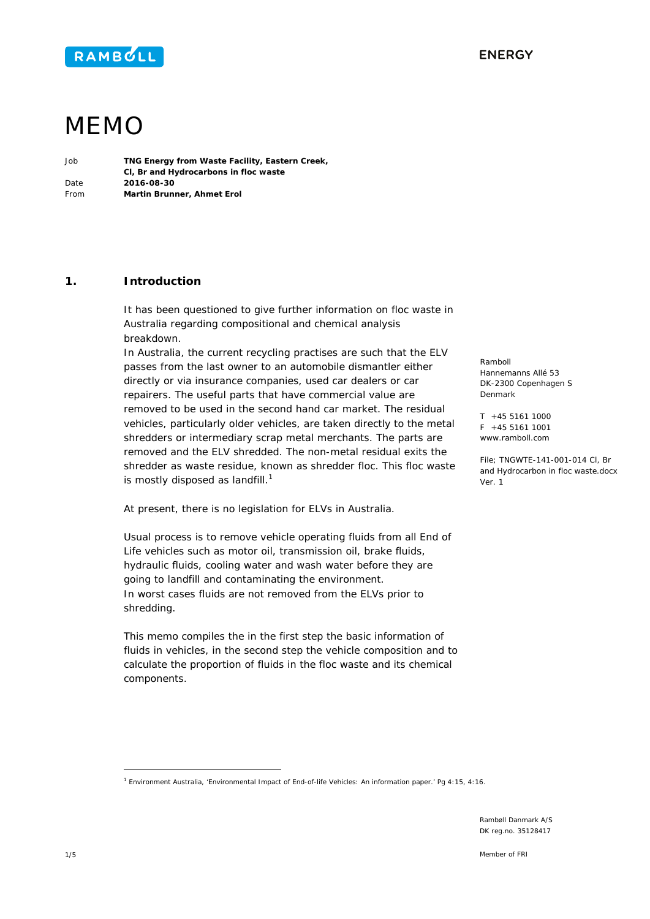

Ramboll

Denmark

Ver. 1

Hannemanns Allé 53 DK-2300 Copenhagen S

T +45 5161 1000  $F + 45551611001$ www.ramboll.com

File; TNGWTE-141-001-014 Cl, Br and Hydrocarbon in floc waste.docx



# MEMO

| Job  | TNG Energy from Waste Facility, Eastern Creek, |
|------|------------------------------------------------|
|      | CI, Br and Hydrocarbons in floc waste          |
| Date | 2016-08-30                                     |
| From | Martin Brunner, Ahmet Erol                     |

# **1. Introduction**

It has been questioned to give further information on floc waste in Australia regarding compositional and chemical analysis breakdown.

In Australia, the current recycling practises are such that the ELV passes from the last owner to an automobile dismantler either directly or via insurance companies, used car dealers or car repairers. The useful parts that have commercial value are removed to be used in the second hand car market. The residual vehicles, particularly older vehicles, are taken directly to the metal shredders or intermediary scrap metal merchants. The parts are removed and the ELV shredded. The non-metal residual exits the shredder as waste residue, known as shredder floc. This floc waste is mostly disposed as landfill. $1$ 

At present, there is no legislation for ELVs in Australia.

Usual process is to remove vehicle operating fluids from all End of Life vehicles such as motor oil, transmission oil, brake fluids, hydraulic fluids, cooling water and wash water before they are going to landfill and contaminating the environment. In worst cases fluids are not removed from the ELVs prior to shredding.

This memo compiles the in the first step the basic information of fluids in vehicles, in the second step the vehicle composition and to calculate the proportion of fluids in the floc waste and its chemical components.

ł

<sup>1</sup> Environment Australia, 'Environmental Impact of End-of-life Vehicles: An information paper.' Pg 4:15, 4:16.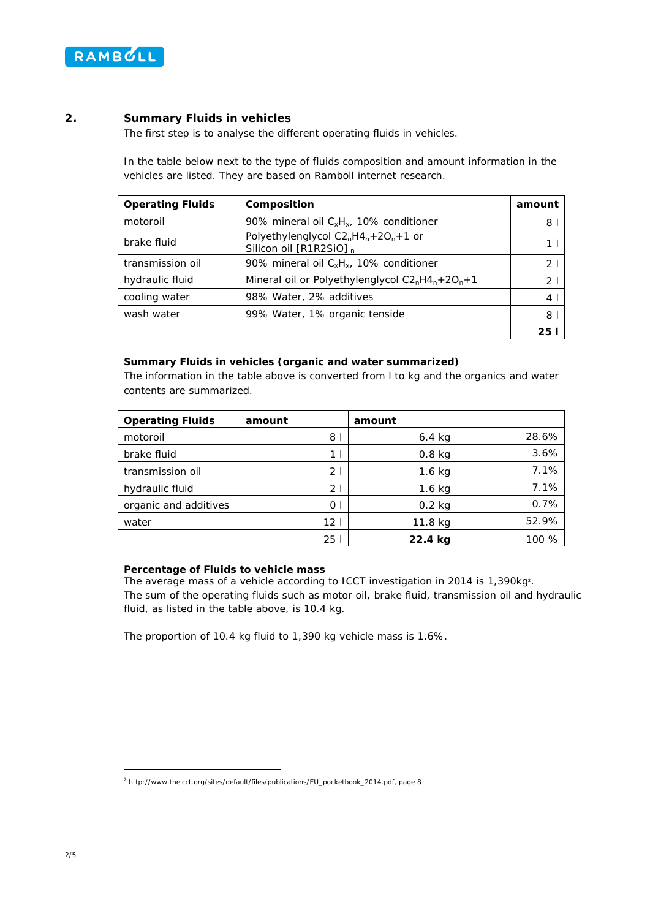

# **2. Summary Fluids in vehicles**

The first step is to analyse the different operating fluids in vehicles.

In the table below next to the type of fluids composition and amount information in the vehicles are listed. They are based on Ramboll internet research.

| <b>Operating Fluids</b> | Composition                                                               | amount         |
|-------------------------|---------------------------------------------------------------------------|----------------|
| motoroil                | 90% mineral oil $C_xH_x$ , 10% conditioner                                | 8              |
| brake fluid             | Polyethylenglycol $C2nH4n+2On+1$ or<br>Silicon oil [R1R2SiO] <sub>n</sub> |                |
| transmission oil        | 90% mineral oil $C_xH_x$ , 10% conditioner                                | 2              |
| hydraulic fluid         | Mineral oil or Polyethylenglycol $C2nH4n+2On+1$                           | 2 <sup>1</sup> |
| cooling water           | 98% Water, 2% additives                                                   | $\overline{4}$ |
| wash water              | 99% Water, 1% organic tenside                                             | 8              |
|                         |                                                                           |                |

## **Summary Fluids in vehicles (organic and water summarized)**

The information in the table above is converted from l to kg and the organics and water contents are summarized.

| <b>Operating Fluids</b> | amount          | amount   |       |
|-------------------------|-----------------|----------|-------|
| motoroil                | 81              | $6.4$ kg | 28.6% |
| brake fluid             | 1 <sub>1</sub>  | $0.8$ kg | 3.6%  |
| transmission oil        | 21              | $1.6$ kg | 7.1%  |
| hydraulic fluid         | 21              | $1.6$ kg | 7.1%  |
| organic and additives   | 0 <sub>1</sub>  | $0.2$ kg | 0.7%  |
| water                   | 12 <sub>1</sub> | 11.8 kg  | 52.9% |
|                         | 25 I            | 22.4 kg  | 100 % |

## **Percentage of Fluids to vehicle mass**

The average mass of a vehicle according to ICCT investigation in 2014 is 1,390kg2. The sum of the operating fluids such as motor oil, brake fluid, transmission oil and hydraulic fluid, as listed in the table above, is 10.4 kg.

The proportion of 10.4 kg fluid to 1,390 kg vehicle mass is 1.6%.

ł

<sup>2</sup> http://www.theicct.org/sites/default/files/publications/EU\_pocketbook\_2014.pdf, page 8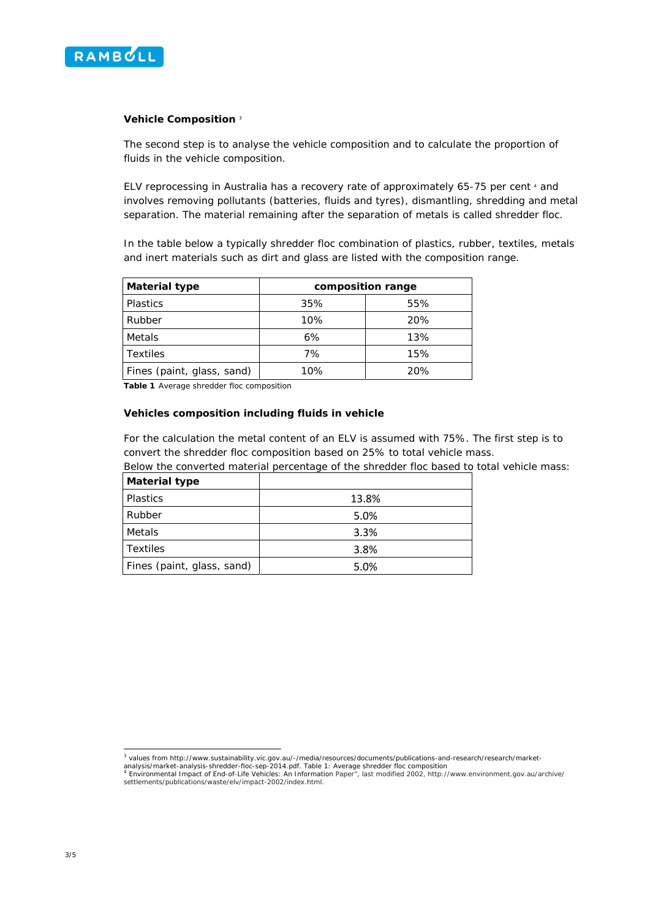

## **Vehicle Composition** <sup>3</sup>

The second step is to analyse the vehicle composition and to calculate the proportion of fluids in the vehicle composition.

ELV reprocessing in Australia has a recovery rate of approximately 65-75 per cent 4 and involves removing pollutants (batteries, fluids and tyres), dismantling, shredding and metal separation. The material remaining after the separation of metals is called shredder floc.

In the table below a typically shredder floc combination of plastics, rubber, textiles, metals and inert materials such as dirt and glass are listed with the composition range.

| <b>Material type</b>       | composition range |     |  |
|----------------------------|-------------------|-----|--|
| <b>Plastics</b>            | 35%               | 55% |  |
| Rubber                     | 10%               | 20% |  |
| Metals                     | 6%                | 13% |  |
| <b>Textiles</b>            | 7%                | 15% |  |
| Fines (paint, glass, sand) | 10%               | 20% |  |

**Table 1** Average shredder floc composition

#### **Vehicles composition including fluids in vehicle**

For the calculation the metal content of an ELV is assumed with 75%. The first step is to convert the shredder floc composition based on 25% to total vehicle mass.

Below the converted material percentage of the shredder floc based to total vehicle mass:

| <b>Material type</b>       |       |
|----------------------------|-------|
| <b>Plastics</b>            | 13.8% |
| Rubber                     | 5.0%  |
| Metals                     | 3.3%  |
| Textiles                   | 3.8%  |
| Fines (paint, glass, sand) | 5.0%  |

 3 values from http://www.sustainability.vic.gov.au/-/media/resources/documents/publications-and-research/research/market-

analysis/market-analysis-shredder-floc-sep-2014.pdf. Table 1: Average shredder floc composition<br><sup>4</sup> Environmental Impact of End-of-Life Vehicles: An Information Paper", last modified 2002, http://www.environment.gov.au/arc settlements/publications/waste/elv/impact-2002/index.html.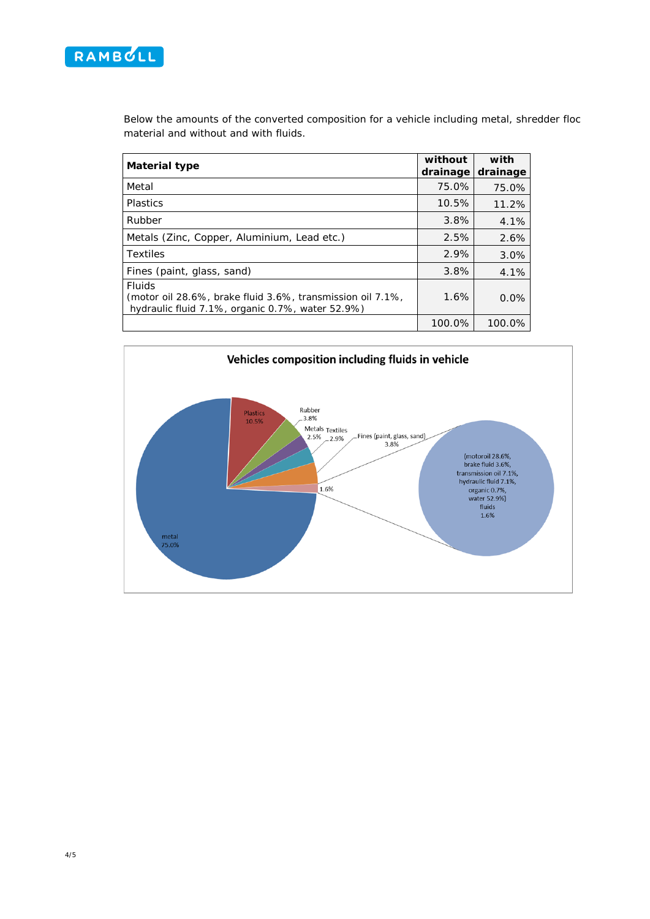

Below the amounts of the converted composition for a vehicle including metal, shredder floc material and without and with fluids.

| <b>Material type</b>                                                                                                            | without<br>drainage | with<br>drainage |
|---------------------------------------------------------------------------------------------------------------------------------|---------------------|------------------|
| Metal                                                                                                                           | 75.0%               | 75.0%            |
| <b>Plastics</b>                                                                                                                 | 10.5%               | 11.2%            |
| Rubber                                                                                                                          | 3.8%                | 4.1%             |
| Metals (Zinc, Copper, Aluminium, Lead etc.)                                                                                     | 2.5%                | 2.6%             |
| <b>Textiles</b>                                                                                                                 | 2.9%                | 3.0%             |
| Fines (paint, glass, sand)                                                                                                      | 3.8%                | 4.1%             |
| <b>Fluids</b><br>(motor oil 28.6%, brake fluid 3.6%, transmission oil 7.1%,<br>hydraulic fluid 7.1%, organic 0.7%, water 52.9%) | 1.6%                | 0.0%             |
|                                                                                                                                 | 100.0%              | 100.0%           |